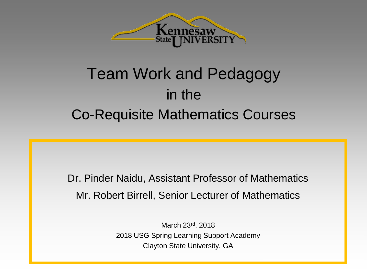

#### Team Work and Pedagogy in the Co-Requisite Mathematics Courses

Dr. Pinder Naidu, Assistant Professor of Mathematics Mr. Robert Birrell, Senior Lecturer of Mathematics

> March 23rd, 2018 2018 USG Spring Learning Support Academy Clayton State University, GA

> > **Clayton State University, GA**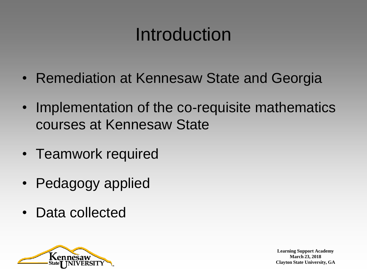### Introduction

- Remediation at Kennesaw State and Georgia
- Implementation of the co-requisite mathematics courses at Kennesaw State
- Teamwork required
- Pedagogy applied
- Data collected

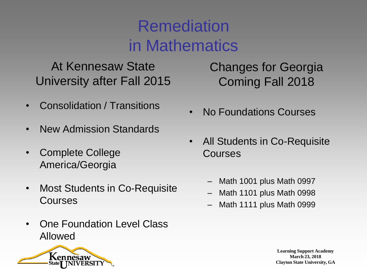#### **Remediation** in Mathematics

At Kennesaw State University after Fall 2015

- Consolidation / Transitions
- New Admission Standards
- Complete College America/Georgia
- Most Students in Co-Requisite Courses
- One Foundation Level Class Allowed



Changes for Georgia Coming Fall 2018

- No Foundations Courses
- All Students in Co-Requisite Courses
	- Math 1001 plus Math 0997
	- Math 1101 plus Math 0998
	- Math 1111 plus Math 0999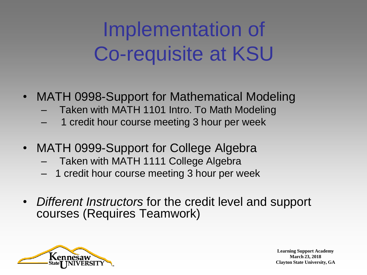### Implementation of Co-requisite at KSU

- MATH 0998-Support for Mathematical Modeling
	- Taken with MATH 1101 Intro. To Math Modeling
	- 1 credit hour course meeting 3 hour per week
- MATH 0999-Support for College Algebra
	- Taken with MATH 1111 College Algebra
	- 1 credit hour course meeting 3 hour per week
- *Different Instructors* for the credit level and support courses (Requires Teamwork)

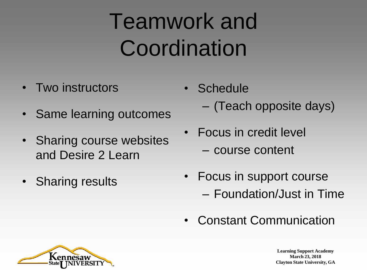## Teamwork and **Coordination**

- Two instructors
- Same learning outcomes
- Sharing course websites and Desire 2 Learn
- Sharing results
- **Schedule** 
	- (Teach opposite days)
- Focus in credit level
	- course content
- Focus in support course – Foundation/Just in Time
- Constant Communication

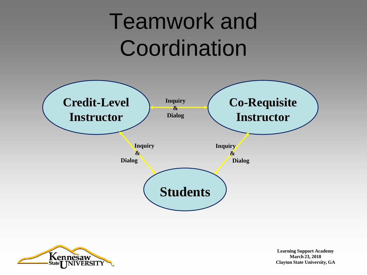## Teamwork and **Coordination**



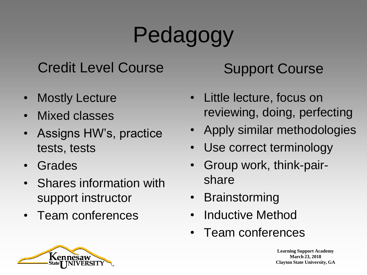# Pedagogy

#### Credit Level Course

- **Mostly Lecture**
- Mixed classes
- Assigns HW's, practice tests, tests
- **Grades**
- Shares information with support instructor
- Team conferences

#### Support Course

- Little lecture, focus on reviewing, doing, perfecting
- Apply similar methodologies
- Use correct terminology
- Group work, think-pairshare
- **Brainstorming**
- Inductive Method
- Team conferences

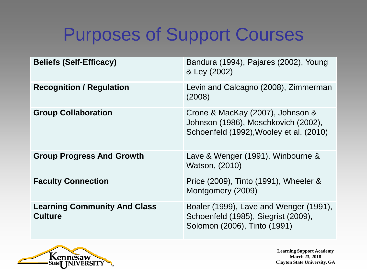### Purposes of Support Courses

| <b>Beliefs (Self-Efficacy)</b>                        | Bandura (1994), Pajares (2002), Young<br>& Ley (2002)                                                              |
|-------------------------------------------------------|--------------------------------------------------------------------------------------------------------------------|
| <b>Recognition / Regulation</b>                       | Levin and Calcagno (2008), Zimmerman<br>(2008)                                                                     |
| <b>Group Collaboration</b>                            | Crone & MacKay (2007), Johnson &<br>Johnson (1986), Moschkovich (2002),<br>Schoenfeld (1992), Wooley et al. (2010) |
| <b>Group Progress And Growth</b>                      | Lave & Wenger (1991), Winbourne &<br>Watson, (2010)                                                                |
| <b>Faculty Connection</b>                             | Price (2009), Tinto (1991), Wheeler &<br>Montgomery (2009)                                                         |
| <b>Learning Community And Class</b><br><b>Culture</b> | Boaler (1999), Lave and Wenger (1991),<br>Schoenfeld (1985), Siegrist (2009),<br>Solomon (2006), Tinto (1991)      |

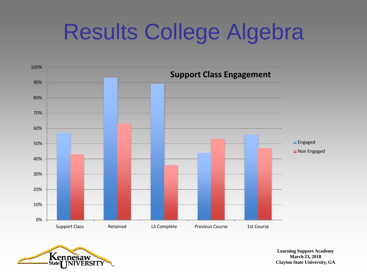## Results College Algebra



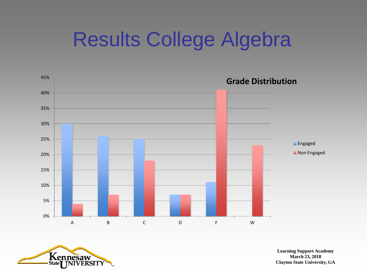### Results College Algebra



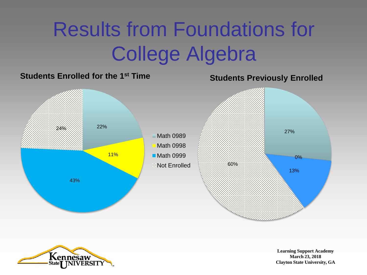### Results from Foundations for College Algebra



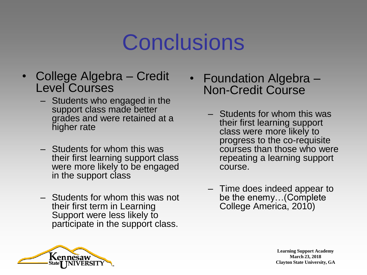### **Conclusions**

- College Algebra Credit Level Courses
	- Students who engaged in the support class made better grades and were retained at a higher rate
	- Students for whom this was their first learning support class were more likely to be engaged in the support class
	- Students for whom this was not their first term in Learning Support were less likely to participate in the support class.
- Foundation Algebra Non-Credit Course
	- Students for whom this was their first learning support class were more likely to progress to the co-requisite courses than those who were repeating a learning support course.
	- Time does indeed appear to be the enemy…(Complete College America, 2010)

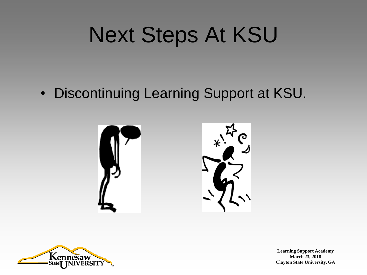## Next Steps At KSU

• Discontinuing Learning Support at KSU.



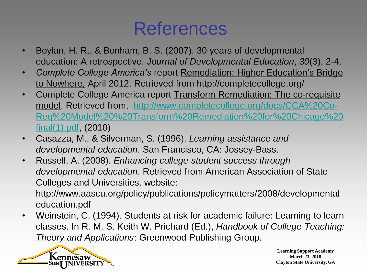#### References

- Boylan, H. R., & Bonham, B. S. (2007). 30 years of developmental education: A retrospective. *Journal of Developmental Education*, *30*(3), 2-4.
- *Complete College America's* report Remediation: Higher Education's Bridge to Nowhere, April 2012. Retrieved from http://completecollege.org/
- Complete College America report Transform Remediation: The co-requisite model. Retrieved from, [http://www.completecollege.org/docs/CCA%20Co-](http://www.completecollege.org/docs/CCA Co-Req Model  Transform Remediation for Chicago final(1).pdf)[Req%20Model%20%20Transform%20Remediation%20for%20Chicago%20](http://www.completecollege.org/docs/CCA Co-Req Model  Transform Remediation for Chicago final(1).pdf) [final\(1\).pdf](http://www.completecollege.org/docs/CCA Co-Req Model  Transform Remediation for Chicago final(1).pdf), (2010)
- Casazza, M., & Silverman, S. (1996). *Learning assistance and developmental education*. San Francisco, CA: Jossey-Bass.
- Russell, A. (2008). *Enhancing college student success through developmental education*. Retrieved from American Association of State Colleges and Universities. website:

http://www.aascu.org/policy/publications/policymatters/2008/developmental education.pdf

• Weinstein, C. (1994). Students at risk for academic failure: Learning to learn classes. In R. M. S. Keith W. Prichard (Ed.), *Handbook of College Teaching: Theory and Applications*: Greenwood Publishing Group.